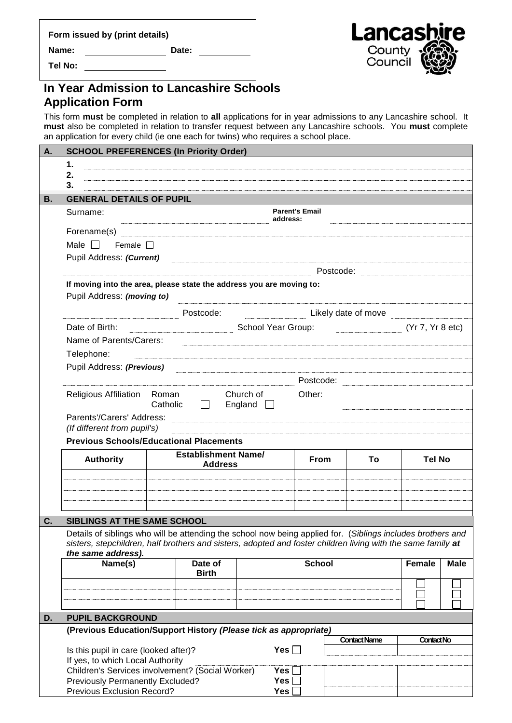| Form issued by (print details) |       |
|--------------------------------|-------|
| Name:                          | Date: |

**Tel No:**

## **In Year Admission to Lancashire Schools Application Form**

This form **must** be completed in relation to **all** applications for in year admissions to any Lancashire school. It **must** also be completed in relation to transfer request between any Lancashire schools. You **must** complete an application for every child (ie one each for twins) who requires a school place.

| А. | <b>SCHOOL PREFERENCES (In Priority Order)</b>                                                                                                                                                                                                                       |                                                                                         |                                                                                                                  |                         |                   |                                     |               |             |  |
|----|---------------------------------------------------------------------------------------------------------------------------------------------------------------------------------------------------------------------------------------------------------------------|-----------------------------------------------------------------------------------------|------------------------------------------------------------------------------------------------------------------|-------------------------|-------------------|-------------------------------------|---------------|-------------|--|
|    | 1.                                                                                                                                                                                                                                                                  |                                                                                         |                                                                                                                  |                         |                   |                                     |               |             |  |
|    | 2.                                                                                                                                                                                                                                                                  |                                                                                         |                                                                                                                  |                         |                   |                                     |               |             |  |
|    | 3.                                                                                                                                                                                                                                                                  |                                                                                         |                                                                                                                  |                         |                   |                                     |               |             |  |
| В. | <b>GENERAL DETAILS OF PUPIL</b>                                                                                                                                                                                                                                     |                                                                                         |                                                                                                                  |                         |                   |                                     |               |             |  |
|    | Surname:                                                                                                                                                                                                                                                            | <b>Parent's Email</b><br>address:                                                       |                                                                                                                  |                         |                   |                                     |               |             |  |
|    |                                                                                                                                                                                                                                                                     |                                                                                         |                                                                                                                  |                         |                   |                                     |               |             |  |
|    | Male $\Box$ Female $\Box$                                                                                                                                                                                                                                           |                                                                                         |                                                                                                                  |                         |                   |                                     |               |             |  |
|    | Pupil Address: (Current)                                                                                                                                                                                                                                            |                                                                                         |                                                                                                                  |                         |                   |                                     |               |             |  |
|    |                                                                                                                                                                                                                                                                     |                                                                                         |                                                                                                                  |                         |                   |                                     |               |             |  |
|    | If moving into the area, please state the address you are moving to:<br>Pupil Address: (moving to)                                                                                                                                                                  |                                                                                         |                                                                                                                  |                         |                   |                                     |               |             |  |
|    | Likely date of move <b>Example 2</b> Likely date of move<br>Postcode:                                                                                                                                                                                               |                                                                                         |                                                                                                                  |                         |                   |                                     |               |             |  |
|    | Date of Birth:                                                                                                                                                                                                                                                      |                                                                                         |                                                                                                                  |                         |                   | School Year Group: (Yr 7, Yr 8 etc) |               |             |  |
|    | Name of Parents/Carers:                                                                                                                                                                                                                                             |                                                                                         |                                                                                                                  |                         |                   |                                     |               |             |  |
|    | Telephone:                                                                                                                                                                                                                                                          |                                                                                         |                                                                                                                  |                         |                   |                                     |               |             |  |
|    | Pupil Address: (Previous)                                                                                                                                                                                                                                           |                                                                                         | a series and the contract of the contract of the contract of the contract of the contract of the contract of the |                         |                   |                                     |               |             |  |
|    |                                                                                                                                                                                                                                                                     |                                                                                         |                                                                                                                  |                         |                   |                                     |               |             |  |
|    |                                                                                                                                                                                                                                                                     |                                                                                         |                                                                                                                  |                         |                   |                                     |               |             |  |
|    |                                                                                                                                                                                                                                                                     | Church of <b>Church</b><br>Other:<br>Religious Affiliation Roman<br>Catholic<br>$\perp$ |                                                                                                                  |                         |                   |                                     |               |             |  |
|    |                                                                                                                                                                                                                                                                     | England $\Box$                                                                          |                                                                                                                  |                         |                   |                                     |               |             |  |
|    | Parents'/Carers' Address: <b>Acceleration and Contract and Contract and Contract and Contract and Contract and Contract and Contract and Contract and Contract and Contract and Contract and Contract and Contract and Contract </b><br>(If different from pupil's) |                                                                                         |                                                                                                                  |                         |                   |                                     |               |             |  |
|    |                                                                                                                                                                                                                                                                     | <b>Previous Schools/Educational Placements</b>                                          |                                                                                                                  |                         |                   |                                     |               |             |  |
|    |                                                                                                                                                                                                                                                                     |                                                                                         | <b>Establishment Name/</b>                                                                                       |                         |                   |                                     |               |             |  |
|    | <b>Authority</b>                                                                                                                                                                                                                                                    |                                                                                         | <b>Address</b>                                                                                                   |                         | <b>From</b>       | To                                  | <b>Tel No</b> |             |  |
|    |                                                                                                                                                                                                                                                                     |                                                                                         |                                                                                                                  |                         |                   |                                     |               |             |  |
|    |                                                                                                                                                                                                                                                                     |                                                                                         |                                                                                                                  |                         |                   |                                     |               |             |  |
|    |                                                                                                                                                                                                                                                                     |                                                                                         |                                                                                                                  |                         |                   |                                     |               |             |  |
|    |                                                                                                                                                                                                                                                                     |                                                                                         |                                                                                                                  |                         |                   |                                     |               |             |  |
| С. | SIBLINGS AT THE SAME SCHOOL                                                                                                                                                                                                                                         |                                                                                         |                                                                                                                  |                         |                   |                                     |               |             |  |
|    | Details of siblings who will be attending the school now being applied for. (Siblings includes brothers and<br>sisters, stepchildren, half brothers and sisters, adopted and foster children living with the same family at                                         |                                                                                         |                                                                                                                  |                         |                   |                                     |               |             |  |
|    | the same address).                                                                                                                                                                                                                                                  |                                                                                         |                                                                                                                  |                         |                   |                                     |               |             |  |
|    | Name(s)                                                                                                                                                                                                                                                             |                                                                                         | Date of                                                                                                          |                         | <b>School</b>     |                                     | <b>Female</b> | <b>Male</b> |  |
|    |                                                                                                                                                                                                                                                                     |                                                                                         | <b>Birth</b>                                                                                                     |                         |                   |                                     |               |             |  |
|    |                                                                                                                                                                                                                                                                     |                                                                                         |                                                                                                                  |                         |                   |                                     |               |             |  |
|    |                                                                                                                                                                                                                                                                     |                                                                                         |                                                                                                                  |                         |                   |                                     |               |             |  |
| D. | <b>PUPIL BACKGROUND</b>                                                                                                                                                                                                                                             |                                                                                         |                                                                                                                  |                         |                   |                                     |               |             |  |
|    |                                                                                                                                                                                                                                                                     |                                                                                         |                                                                                                                  |                         |                   |                                     |               |             |  |
|    | (Previous Education/Support History (Please tick as appropriate)                                                                                                                                                                                                    |                                                                                         |                                                                                                                  | <b>Contact Name</b>     | <b>Contact No</b> |                                     |               |             |  |
|    | Is this pupil in care (looked after)?                                                                                                                                                                                                                               |                                                                                         |                                                                                                                  | Yes $\Box$              |                   |                                     |               |             |  |
|    | If yes, to which Local Authority                                                                                                                                                                                                                                    |                                                                                         |                                                                                                                  |                         |                   |                                     |               |             |  |
|    | Children's Services involvement? (Social Worker)                                                                                                                                                                                                                    |                                                                                         |                                                                                                                  | Yes <sub>1</sub><br>Yes |                   |                                     |               |             |  |
|    | Previously Permanently Excluded?<br>Previous Exclusion Record?                                                                                                                                                                                                      |                                                                                         |                                                                                                                  | Yes                     |                   |                                     |               |             |  |

Lancas **e** County Council